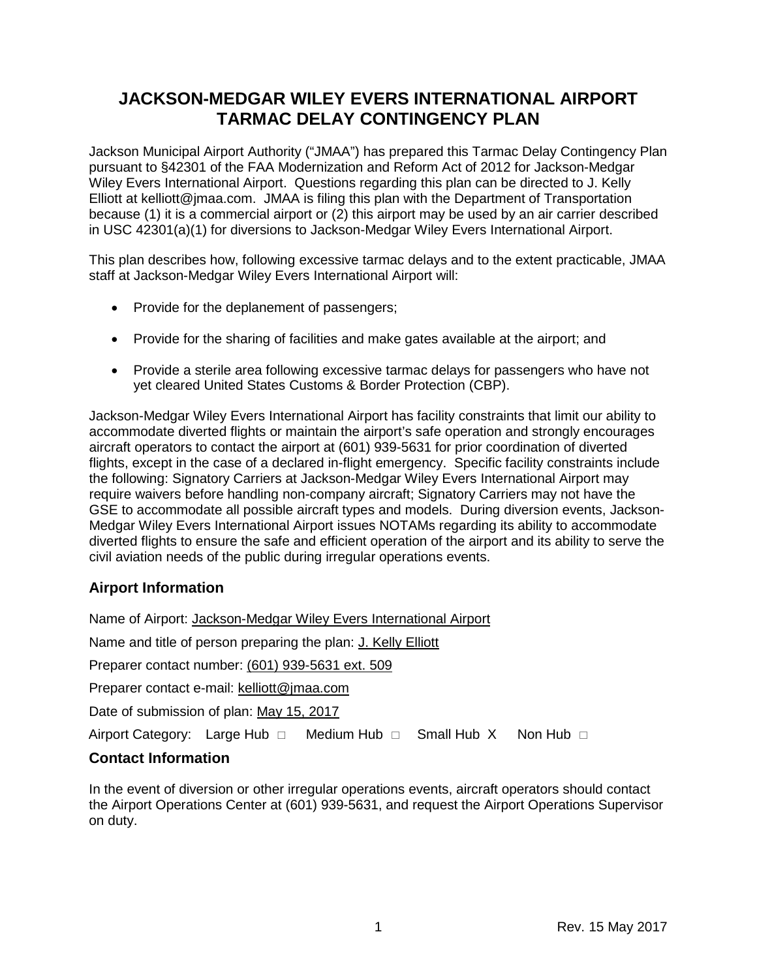# **JACKSON-MEDGAR WILEY EVERS INTERNATIONAL AIRPORT TARMAC DELAY CONTINGENCY PLAN**

Jackson Municipal Airport Authority ("JMAA") has prepared this Tarmac Delay Contingency Plan pursuant to §42301 of the FAA Modernization and Reform Act of 2012 for Jackson-Medgar Wiley Evers International Airport. Questions regarding this plan can be directed to J. Kelly Elliott at kelliott@jmaa.com. JMAA is filing this plan with the Department of Transportation because (1) it is a commercial airport or (2) this airport may be used by an air carrier described in USC 42301(a)(1) for diversions to Jackson-Medgar Wiley Evers International Airport.

This plan describes how, following excessive tarmac delays and to the extent practicable, JMAA staff at Jackson-Medgar Wiley Evers International Airport will:

- Provide for the deplanement of passengers;
- Provide for the sharing of facilities and make gates available at the airport; and
- Provide a sterile area following excessive tarmac delays for passengers who have not yet cleared United States Customs & Border Protection (CBP).

Jackson-Medgar Wiley Evers International Airport has facility constraints that limit our ability to accommodate diverted flights or maintain the airport's safe operation and strongly encourages aircraft operators to contact the airport at (601) 939-5631 for prior coordination of diverted flights, except in the case of a declared in-flight emergency. Specific facility constraints include the following: Signatory Carriers at Jackson-Medgar Wiley Evers International Airport may require waivers before handling non-company aircraft; Signatory Carriers may not have the GSE to accommodate all possible aircraft types and models. During diversion events, Jackson-Medgar Wiley Evers International Airport issues NOTAMs regarding its ability to accommodate diverted flights to ensure the safe and efficient operation of the airport and its ability to serve the civil aviation needs of the public during irregular operations events.

# **Airport Information**

Name of Airport: Jackson-Medgar Wiley Evers International Airport

Name and title of person preparing the plan: J. Kelly Elliott

Preparer contact number: (601) 939-5631 ext. 509

Preparer contact e-mail: kelliott@jmaa.com

Date of submission of plan: May 15, 2017

Airport Category: Large Hub  $\Box$  Medium Hub  $\Box$  Small Hub X Non Hub  $\Box$ 

#### **Contact Information**

In the event of diversion or other irregular operations events, aircraft operators should contact the Airport Operations Center at (601) 939-5631, and request the Airport Operations Supervisor on duty.